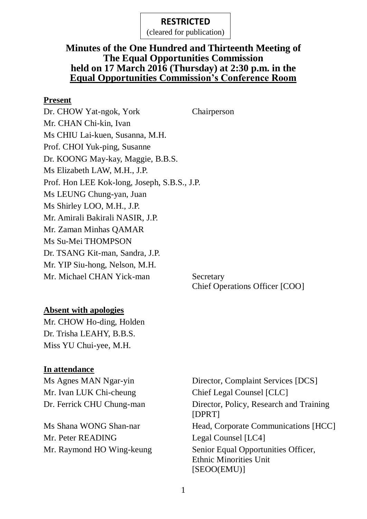(cleared for publication)

## **Minutes of the One Hundred and Thirteenth Meeting of The Equal Opportunities Commission held on 17 March 2016 (Thursday) at 2:30 p.m. in the Equal Opportunities Commission's Conference Room**

#### **Present**

Dr. CHOW Yat-ngok, York Chairperson Mr. CHAN Chi-kin, Ivan Ms CHIU Lai-kuen, Susanna, M.H. Prof. CHOI Yuk-ping, Susanne Dr. KOONG May-kay, Maggie, B.B.S. Ms Elizabeth LAW, M.H., J.P. Prof. Hon LEE Kok-long, Joseph, S.B.S., J.P. Ms LEUNG Chung-yan, Juan Ms Shirley LOO, M.H., J.P. Mr. Amirali Bakirali NASIR, J.P. Mr. Zaman Minhas QAMAR Ms Su-Mei THOMPSON Dr. TSANG Kit-man, Sandra, J.P. Mr. YIP Siu-hong, Nelson, M.H. Mr. Michael CHAN Yick-man Secretary

## **Absent with apologies**

Mr. CHOW Ho-ding, Holden Dr. Trisha LEAHY, B.B.S. Miss YU Chui-yee, M.H.

## **In attendance**

Mr. Ivan LUK Chi-cheung Chief Legal Counsel [CLC]

Mr. Peter READING Legal Counsel [LC4]

Ms Agnes MAN Ngar-yin Director, Complaint Services [DCS] Dr. Ferrick CHU Chung-man Director, Policy, Research and Training [DPRT] Ms Shana WONG Shan-nar Head, Corporate Communications [HCC] Mr. Raymond HO Wing-keung Senior Equal Opportunities Officer, Ethnic Minorities Unit [SEOO(EMU)]

Chief Operations Officer [COO]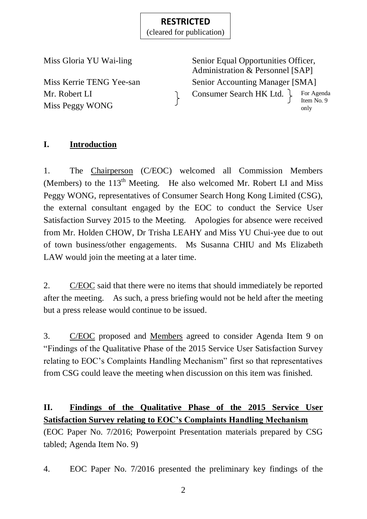(cleared for publication)

Mr. Robert LI Consumer Search HK Ltd. \ Miss Peggy WONG

Miss Gloria YU Wai-ling Senior Equal Opportunities Officer, Administration & Personnel [SAP] Miss Kerrie TENG Yee-san Senior Accounting Manager [SMA] For Agenda Item No. 9 only

# **I. Introduction**

1. The Chairperson (C/EOC) welcomed all Commission Members (Members) to the 113<sup>th</sup> Meeting. He also welcomed Mr. Robert LI and Miss Peggy WONG, representatives of Consumer Search Hong Kong Limited (CSG), the external consultant engaged by the EOC to conduct the Service User Satisfaction Survey 2015 to the Meeting. Apologies for absence were received from Mr. Holden CHOW, Dr Trisha LEAHY and Miss YU Chui-yee due to out of town business/other engagements. Ms Susanna CHIU and Ms Elizabeth LAW would join the meeting at a later time.

2. C/EOC said that there were no items that should immediately be reported after the meeting. As such, a press briefing would not be held after the meeting but a press release would continue to be issued.

3. C/EOC proposed and Members agreed to consider Agenda Item 9 on "Findings of the Qualitative Phase of the 2015 Service User Satisfaction Survey relating to EOC's Complaints Handling Mechanism" first so that representatives from CSG could leave the meeting when discussion on this item was finished.

# **II. Findings of the Qualitative Phase of the 2015 Service User Satisfaction Survey relating to EOC's Complaints Handling Mechanism**

(EOC Paper No. 7/2016; Powerpoint Presentation materials prepared by CSG tabled; Agenda Item No. 9)

4. EOC Paper No. 7/2016 presented the preliminary key findings of the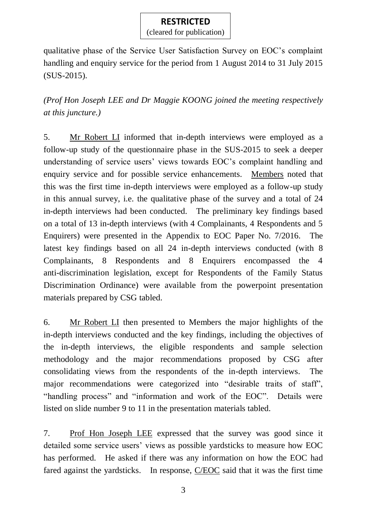(cleared for publication)

qualitative phase of the Service User Satisfaction Survey on EOC's complaint handling and enquiry service for the period from 1 August 2014 to 31 July 2015 (SUS-2015).

*(Prof Hon Joseph LEE and Dr Maggie KOONG joined the meeting respectively at this juncture.)*

5. Mr Robert LI informed that in-depth interviews were employed as a follow-up study of the questionnaire phase in the SUS-2015 to seek a deeper understanding of service users' views towards EOC's complaint handling and enquiry service and for possible service enhancements. Members noted that this was the first time in-depth interviews were employed as a follow-up study in this annual survey, i.e. the qualitative phase of the survey and a total of 24 in-depth interviews had been conducted. The preliminary key findings based on a total of 13 in-depth interviews (with 4 Complainants, 4 Respondents and 5 Enquirers) were presented in the Appendix to EOC Paper No. 7/2016. The latest key findings based on all 24 in-depth interviews conducted (with 8 Complainants, 8 Respondents and 8 Enquirers encompassed the 4 anti-discrimination legislation, except for Respondents of the Family Status Discrimination Ordinance) were available from the powerpoint presentation materials prepared by CSG tabled.

6. Mr Robert LI then presented to Members the major highlights of the in-depth interviews conducted and the key findings, including the objectives of the in-depth interviews, the eligible respondents and sample selection methodology and the major recommendations proposed by CSG after consolidating views from the respondents of the in-depth interviews. The major recommendations were categorized into "desirable traits of staff", "handling process" and "information and work of the EOC". Details were listed on slide number 9 to 11 in the presentation materials tabled.

7. Prof Hon Joseph LEE expressed that the survey was good since it detailed some service users' views as possible yardsticks to measure how EOC has performed. He asked if there was any information on how the EOC had fared against the yardsticks. In response, C/EOC said that it was the first time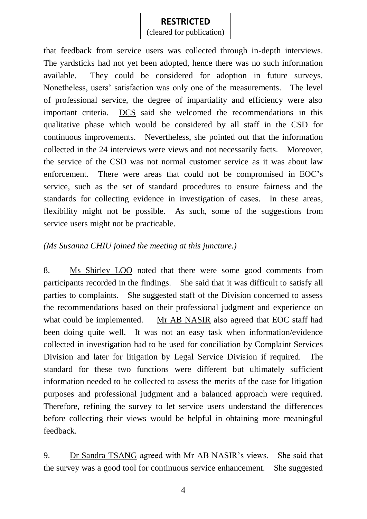(cleared for publication)

that feedback from service users was collected through in-depth interviews. The yardsticks had not yet been adopted, hence there was no such information available. They could be considered for adoption in future surveys. Nonetheless, users' satisfaction was only one of the measurements. The level of professional service, the degree of impartiality and efficiency were also important criteria. DCS said she welcomed the recommendations in this qualitative phase which would be considered by all staff in the CSD for continuous improvements. Nevertheless, she pointed out that the information collected in the 24 interviews were views and not necessarily facts. Moreover, the service of the CSD was not normal customer service as it was about law enforcement. There were areas that could not be compromised in EOC's service, such as the set of standard procedures to ensure fairness and the standards for collecting evidence in investigation of cases. In these areas, flexibility might not be possible. As such, some of the suggestions from service users might not be practicable.

#### *(Ms Susanna CHIU joined the meeting at this juncture.)*

8. Ms Shirley LOO noted that there were some good comments from participants recorded in the findings. She said that it was difficult to satisfy all parties to complaints. She suggested staff of the Division concerned to assess the recommendations based on their professional judgment and experience on what could be implemented. Mr AB NASIR also agreed that EOC staff had been doing quite well. It was not an easy task when information/evidence collected in investigation had to be used for conciliation by Complaint Services Division and later for litigation by Legal Service Division if required. The standard for these two functions were different but ultimately sufficient information needed to be collected to assess the merits of the case for litigation purposes and professional judgment and a balanced approach were required. Therefore, refining the survey to let service users understand the differences before collecting their views would be helpful in obtaining more meaningful feedback.

9. Dr Sandra TSANG agreed with Mr AB NASIR's views. She said that the survey was a good tool for continuous service enhancement. She suggested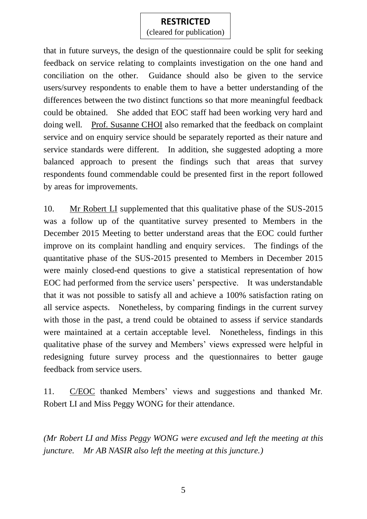(cleared for publication)

that in future surveys, the design of the questionnaire could be split for seeking feedback on service relating to complaints investigation on the one hand and conciliation on the other. Guidance should also be given to the service users/survey respondents to enable them to have a better understanding of the differences between the two distinct functions so that more meaningful feedback could be obtained. She added that EOC staff had been working very hard and doing well. Prof. Susanne CHOI also remarked that the feedback on complaint service and on enquiry service should be separately reported as their nature and service standards were different. In addition, she suggested adopting a more balanced approach to present the findings such that areas that survey respondents found commendable could be presented first in the report followed by areas for improvements.

10. Mr Robert LI supplemented that this qualitative phase of the SUS-2015 was a follow up of the quantitative survey presented to Members in the December 2015 Meeting to better understand areas that the EOC could further improve on its complaint handling and enquiry services. The findings of the quantitative phase of the SUS-2015 presented to Members in December 2015 were mainly closed-end questions to give a statistical representation of how EOC had performed from the service users' perspective. It was understandable that it was not possible to satisfy all and achieve a 100% satisfaction rating on all service aspects. Nonetheless, by comparing findings in the current survey with those in the past, a trend could be obtained to assess if service standards were maintained at a certain acceptable level. Nonetheless, findings in this qualitative phase of the survey and Members' views expressed were helpful in redesigning future survey process and the questionnaires to better gauge feedback from service users.

11. C/EOC thanked Members' views and suggestions and thanked Mr. Robert LI and Miss Peggy WONG for their attendance.

*(Mr Robert LI and Miss Peggy WONG were excused and left the meeting at this juncture. Mr AB NASIR also left the meeting at this juncture.)*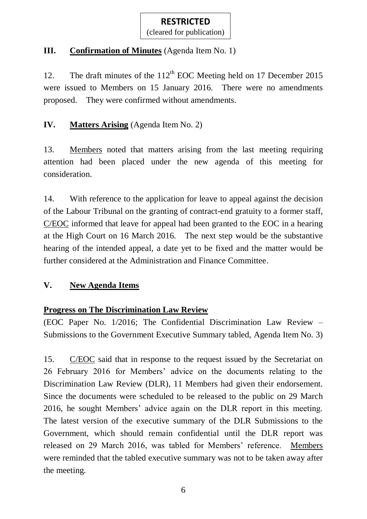(cleared for publication)

# **III. Confirmation of Minutes** (Agenda Item No. 1)

12. The draft minutes of the  $112<sup>th</sup>$  EOC Meeting held on 17 December 2015 were issued to Members on 15 January 2016. There were no amendments proposed. They were confirmed without amendments.

# **IV. Matters Arising** (Agenda Item No. 2)

13. Members noted that matters arising from the last meeting requiring attention had been placed under the new agenda of this meeting for consideration.

14. With reference to the application for leave to appeal against the decision of the Labour Tribunal on the granting of contract-end gratuity to a former staff, C/EOC informed that leave for appeal had been granted to the EOC in a hearing at the High Court on 16 March 2016. The next step would be the substantive hearing of the intended appeal, a date yet to be fixed and the matter would be further considered at the Administration and Finance Committee.

## **V. New Agenda Items**

## **Progress on The Discrimination Law Review**

(EOC Paper No. 1/2016; The Confidential Discrimination Law Review – Submissions to the Government Executive Summary tabled, Agenda Item No. 3)

15. C/EOC said that in response to the request issued by the Secretariat on 26 February 2016 for Members' advice on the documents relating to the Discrimination Law Review (DLR), 11 Members had given their endorsement. Since the documents were scheduled to be released to the public on 29 March 2016, he sought Members' advice again on the DLR report in this meeting. The latest version of the executive summary of the DLR Submissions to the Government, which should remain confidential until the DLR report was released on 29 March 2016, was tabled for Members' reference. Members were reminded that the tabled executive summary was not to be taken away after the meeting.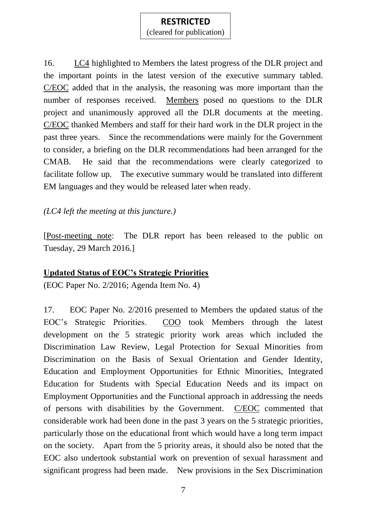(cleared for publication)

16. LC4 highlighted to Members the latest progress of the DLR project and the important points in the latest version of the executive summary tabled. C/EOC added that in the analysis, the reasoning was more important than the number of responses received. Members posed no questions to the DLR project and unanimously approved all the DLR documents at the meeting. C/EOC thanked Members and staff for their hard work in the DLR project in the past three years. Since the recommendations were mainly for the Government to consider, a briefing on the DLR recommendations had been arranged for the CMAB. He said that the recommendations were clearly categorized to facilitate follow up. The executive summary would be translated into different EM languages and they would be released later when ready.

#### *(LC4 left the meeting at this juncture.)*

[Post-meeting note: The DLR report has been released to the public on Tuesday, 29 March 2016.]

## **Updated Status of EOC's Strategic Priorities**

(EOC Paper No. 2/2016; Agenda Item No. 4)

17. EOC Paper No. 2/2016 presented to Members the updated status of the EOC's Strategic Priorities. COO took Members through the latest development on the 5 strategic priority work areas which included the Discrimination Law Review, Legal Protection for Sexual Minorities from Discrimination on the Basis of Sexual Orientation and Gender Identity, Education and Employment Opportunities for Ethnic Minorities, Integrated Education for Students with Special Education Needs and its impact on Employment Opportunities and the Functional approach in addressing the needs of persons with disabilities by the Government. C/EOC commented that considerable work had been done in the past 3 years on the 5 strategic priorities, particularly those on the educational front which would have a long term impact on the society. Apart from the 5 priority areas, it should also be noted that the EOC also undertook substantial work on prevention of sexual harassment and significant progress had been made. New provisions in the Sex Discrimination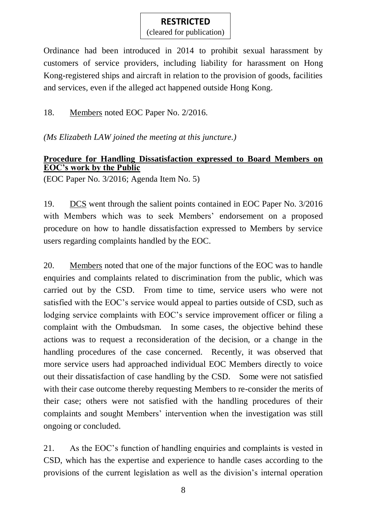(cleared for publication)

Ordinance had been introduced in 2014 to prohibit sexual harassment by customers of service providers, including liability for harassment on Hong Kong-registered ships and aircraft in relation to the provision of goods, facilities and services, even if the alleged act happened outside Hong Kong.

18. Members noted EOC Paper No. 2/2016.

*(Ms Elizabeth LAW joined the meeting at this juncture.)*

#### **Procedure for Handling Dissatisfaction expressed to Board Members on EOC's work by the Public**

(EOC Paper No. 3/2016; Agenda Item No. 5)

19. DCS went through the salient points contained in EOC Paper No. 3/2016 with Members which was to seek Members' endorsement on a proposed procedure on how to handle dissatisfaction expressed to Members by service users regarding complaints handled by the EOC.

20. Members noted that one of the major functions of the EOC was to handle enquiries and complaints related to discrimination from the public, which was carried out by the CSD. From time to time, service users who were not satisfied with the EOC's service would appeal to parties outside of CSD, such as lodging service complaints with EOC's service improvement officer or filing a complaint with the Ombudsman. In some cases, the objective behind these actions was to request a reconsideration of the decision, or a change in the handling procedures of the case concerned. Recently, it was observed that more service users had approached individual EOC Members directly to voice out their dissatisfaction of case handling by the CSD. Some were not satisfied with their case outcome thereby requesting Members to re-consider the merits of their case; others were not satisfied with the handling procedures of their complaints and sought Members' intervention when the investigation was still ongoing or concluded.

21. As the EOC's function of handling enquiries and complaints is vested in CSD, which has the expertise and experience to handle cases according to the provisions of the current legislation as well as the division's internal operation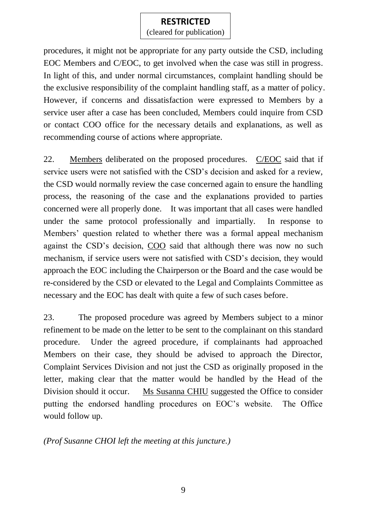(cleared for publication)

procedures, it might not be appropriate for any party outside the CSD, including EOC Members and C/EOC, to get involved when the case was still in progress. In light of this, and under normal circumstances, complaint handling should be the exclusive responsibility of the complaint handling staff, as a matter of policy. However, if concerns and dissatisfaction were expressed to Members by a service user after a case has been concluded, Members could inquire from CSD or contact COO office for the necessary details and explanations, as well as recommending course of actions where appropriate.

22. Members deliberated on the proposed procedures. C/EOC said that if service users were not satisfied with the CSD's decision and asked for a review, the CSD would normally review the case concerned again to ensure the handling process, the reasoning of the case and the explanations provided to parties concerned were all properly done. It was important that all cases were handled under the same protocol professionally and impartially. In response to Members' question related to whether there was a formal appeal mechanism against the CSD's decision, COO said that although there was now no such mechanism, if service users were not satisfied with CSD's decision, they would approach the EOC including the Chairperson or the Board and the case would be re-considered by the CSD or elevated to the Legal and Complaints Committee as necessary and the EOC has dealt with quite a few of such cases before.

23. The proposed procedure was agreed by Members subject to a minor refinement to be made on the letter to be sent to the complainant on this standard procedure. Under the agreed procedure, if complainants had approached Members on their case, they should be advised to approach the Director, Complaint Services Division and not just the CSD as originally proposed in the letter, making clear that the matter would be handled by the Head of the Division should it occur. Ms Susanna CHIU suggested the Office to consider putting the endorsed handling procedures on EOC's website. The Office would follow up.

*(Prof Susanne CHOI left the meeting at this juncture.)*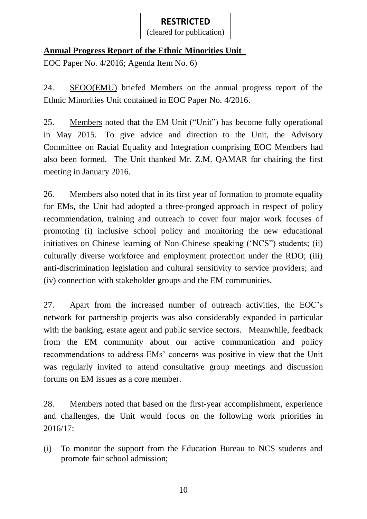(cleared for publication)

# **Annual Progress Report of the Ethnic Minorities Unit**

EOC Paper No. 4/2016; Agenda Item No. 6)

24. SEOO(EMU) briefed Members on the annual progress report of the Ethnic Minorities Unit contained in EOC Paper No. 4/2016.

25. Members noted that the EM Unit ("Unit") has become fully operational in May 2015. To give advice and direction to the Unit, the Advisory Committee on Racial Equality and Integration comprising EOC Members had also been formed. The Unit thanked Mr. Z.M. QAMAR for chairing the first meeting in January 2016.

26. Members also noted that in its first year of formation to promote equality for EMs, the Unit had adopted a three-pronged approach in respect of policy recommendation, training and outreach to cover four major work focuses of promoting (i) inclusive school policy and monitoring the new educational initiatives on Chinese learning of Non-Chinese speaking ('NCS") students; (ii) culturally diverse workforce and employment protection under the RDO; (iii) anti-discrimination legislation and cultural sensitivity to service providers; and (iv) connection with stakeholder groups and the EM communities.

27. Apart from the increased number of outreach activities, the EOC's network for partnership projects was also considerably expanded in particular with the banking, estate agent and public service sectors. Meanwhile, feedback from the EM community about our active communication and policy recommendations to address EMs' concerns was positive in view that the Unit was regularly invited to attend consultative group meetings and discussion forums on EM issues as a core member.

28. Members noted that based on the first-year accomplishment, experience and challenges, the Unit would focus on the following work priorities in 2016/17:

(i) To monitor the support from the Education Bureau to NCS students and promote fair school admission;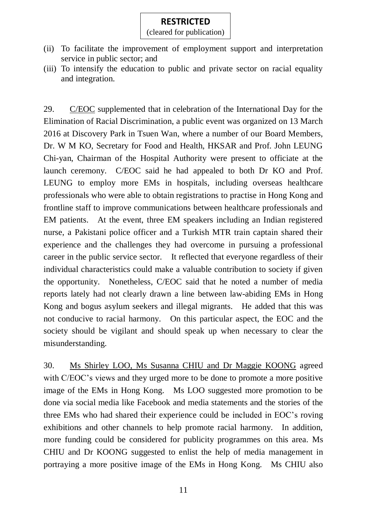(cleared for publication)

- (ii) To facilitate the improvement of employment support and interpretation service in public sector; and
- (iii) To intensify the education to public and private sector on racial equality and integration.

29. C/EOC supplemented that in celebration of the International Day for the Elimination of Racial Discrimination, a public event was organized on 13 March 2016 at Discovery Park in Tsuen Wan, where a number of our Board Members, Dr. W M KO, Secretary for Food and Health, HKSAR and Prof. John LEUNG Chi-yan, Chairman of the Hospital Authority were present to officiate at the launch ceremony. C/EOC said he had appealed to both Dr KO and Prof. LEUNG to employ more EMs in hospitals, including overseas healthcare professionals who were able to obtain registrations to practise in Hong Kong and frontline staff to improve communications between healthcare professionals and EM patients. At the event, three EM speakers including an Indian registered nurse, a Pakistani police officer and a Turkish MTR train captain shared their experience and the challenges they had overcome in pursuing a professional career in the public service sector. It reflected that everyone regardless of their individual characteristics could make a valuable contribution to society if given the opportunity. Nonetheless, C/EOC said that he noted a number of media reports lately had not clearly drawn a line between law-abiding EMs in Hong Kong and bogus asylum seekers and illegal migrants. He added that this was not conducive to racial harmony. On this particular aspect, the EOC and the society should be vigilant and should speak up when necessary to clear the misunderstanding.

30. Ms Shirley LOO, Ms Susanna CHIU and Dr Maggie KOONG agreed with C/EOC's views and they urged more to be done to promote a more positive image of the EMs in Hong Kong. Ms LOO suggested more promotion to be done via social media like Facebook and media statements and the stories of the three EMs who had shared their experience could be included in EOC's roving exhibitions and other channels to help promote racial harmony. In addition, more funding could be considered for publicity programmes on this area. Ms CHIU and Dr KOONG suggested to enlist the help of media management in portraying a more positive image of the EMs in Hong Kong. Ms CHIU also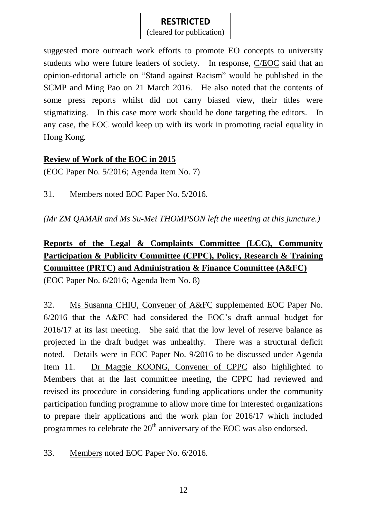(cleared for publication)

suggested more outreach work efforts to promote EO concepts to university students who were future leaders of society. In response, C/EOC said that an opinion-editorial article on "Stand against Racism" would be published in the SCMP and Ming Pao on 21 March 2016. He also noted that the contents of some press reports whilst did not carry biased view, their titles were stigmatizing. In this case more work should be done targeting the editors. In any case, the EOC would keep up with its work in promoting racial equality in Hong Kong.

## **Review of Work of the EOC in 2015**

(EOC Paper No. 5/2016; Agenda Item No. 7)

31. Members noted EOC Paper No. 5/2016.

*(Mr ZM QAMAR and Ms Su-Mei THOMPSON left the meeting at this juncture.)*

# **Reports of the Legal & Complaints Committee (LCC), Community Participation & Publicity Committee (CPPC), Policy, Research & Training Committee (PRTC) and Administration & Finance Committee (A&FC)** (EOC Paper No. 6/2016; Agenda Item No. 8)

32. Ms Susanna CHIU, Convener of A&FC supplemented EOC Paper No. 6/2016 that the A&FC had considered the EOC's draft annual budget for 2016/17 at its last meeting. She said that the low level of reserve balance as projected in the draft budget was unhealthy. There was a structural deficit noted. Details were in EOC Paper No. 9/2016 to be discussed under Agenda Item 11. Dr Maggie KOONG, Convener of CPPC also highlighted to Members that at the last committee meeting, the CPPC had reviewed and revised its procedure in considering funding applications under the community participation funding programme to allow more time for interested organizations to prepare their applications and the work plan for 2016/17 which included programmes to celebrate the  $20<sup>th</sup>$  anniversary of the EOC was also endorsed.

33. Members noted EOC Paper No. 6/2016.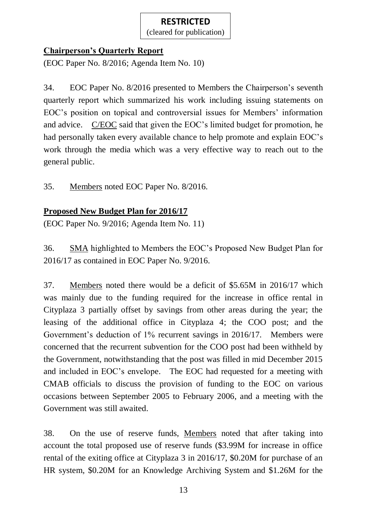(cleared for publication)

## **Chairperson's Quarterly Report**

(EOC Paper No. 8/2016; Agenda Item No. 10)

34. EOC Paper No. 8/2016 presented to Members the Chairperson's seventh quarterly report which summarized his work including issuing statements on EOC's position on topical and controversial issues for Members' information and advice. C/EOC said that given the EOC's limited budget for promotion, he had personally taken every available chance to help promote and explain EOC's work through the media which was a very effective way to reach out to the general public.

35. Members noted EOC Paper No. 8/2016.

# **Proposed New Budget Plan for 2016/17**

(EOC Paper No. 9/2016; Agenda Item No. 11)

36. SMA highlighted to Members the EOC's Proposed New Budget Plan for 2016/17 as contained in EOC Paper No. 9/2016.

37. Members noted there would be a deficit of \$5.65M in 2016/17 which was mainly due to the funding required for the increase in office rental in Cityplaza 3 partially offset by savings from other areas during the year; the leasing of the additional office in Cityplaza 4; the COO post; and the Government's deduction of 1% recurrent savings in 2016/17. Members were concerned that the recurrent subvention for the COO post had been withheld by the Government, notwithstanding that the post was filled in mid December 2015 and included in EOC's envelope. The EOC had requested for a meeting with CMAB officials to discuss the provision of funding to the EOC on various occasions between September 2005 to February 2006, and a meeting with the Government was still awaited.

38. On the use of reserve funds, Members noted that after taking into account the total proposed use of reserve funds (\$3.99M for increase in office rental of the exiting office at Cityplaza 3 in 2016/17, \$0.20M for purchase of an HR system, \$0.20M for an Knowledge Archiving System and \$1.26M for the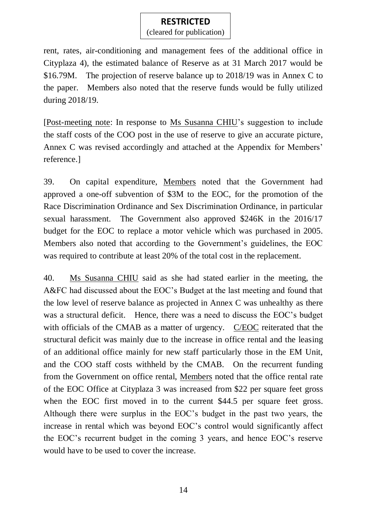(cleared for publication)

rent, rates, air-conditioning and management fees of the additional office in Cityplaza 4), the estimated balance of Reserve as at 31 March 2017 would be \$16.79M. The projection of reserve balance up to 2018/19 was in Annex C to the paper. Members also noted that the reserve funds would be fully utilized during 2018/19.

[Post-meeting note: In response to Ms Susanna CHIU's suggestion to include the staff costs of the COO post in the use of reserve to give an accurate picture, Annex C was revised accordingly and attached at the Appendix for Members' reference.]

39. On capital expenditure, Members noted that the Government had approved a one-off subvention of \$3M to the EOC, for the promotion of the Race Discrimination Ordinance and Sex Discrimination Ordinance, in particular sexual harassment. The Government also approved \$246K in the 2016/17 budget for the EOC to replace a motor vehicle which was purchased in 2005. Members also noted that according to the Government's guidelines, the EOC was required to contribute at least 20% of the total cost in the replacement.

40. Ms Susanna CHIU said as she had stated earlier in the meeting, the A&FC had discussed about the EOC's Budget at the last meeting and found that the low level of reserve balance as projected in Annex C was unhealthy as there was a structural deficit. Hence, there was a need to discuss the EOC's budget with officials of the CMAB as a matter of urgency. C/EOC reiterated that the structural deficit was mainly due to the increase in office rental and the leasing of an additional office mainly for new staff particularly those in the EM Unit, and the COO staff costs withheld by the CMAB. On the recurrent funding from the Government on office rental, Members noted that the office rental rate of the EOC Office at Cityplaza 3 was increased from \$22 per square feet gross when the EOC first moved in to the current \$44.5 per square feet gross. Although there were surplus in the EOC's budget in the past two years, the increase in rental which was beyond EOC's control would significantly affect the EOC's recurrent budget in the coming 3 years, and hence EOC's reserve would have to be used to cover the increase.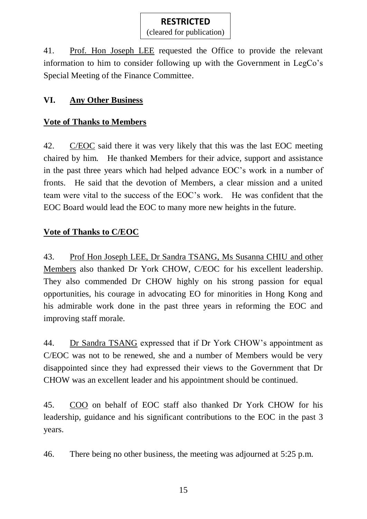(cleared for publication)

41. Prof. Hon Joseph LEE requested the Office to provide the relevant information to him to consider following up with the Government in LegCo's Special Meeting of the Finance Committee.

# **VI. Any Other Business**

## **Vote of Thanks to Members**

42. C/EOC said there it was very likely that this was the last EOC meeting chaired by him. He thanked Members for their advice, support and assistance in the past three years which had helped advance EOC's work in a number of fronts. He said that the devotion of Members, a clear mission and a united team were vital to the success of the EOC's work. He was confident that the EOC Board would lead the EOC to many more new heights in the future.

# **Vote of Thanks to C/EOC**

43. Prof Hon Joseph LEE, Dr Sandra TSANG, Ms Susanna CHIU and other Members also thanked Dr York CHOW, C/EOC for his excellent leadership. They also commended Dr CHOW highly on his strong passion for equal opportunities, his courage in advocating EO for minorities in Hong Kong and his admirable work done in the past three years in reforming the EOC and improving staff morale.

44. Dr Sandra TSANG expressed that if Dr York CHOW's appointment as C/EOC was not to be renewed, she and a number of Members would be very disappointed since they had expressed their views to the Government that Dr CHOW was an excellent leader and his appointment should be continued.

45. COO on behalf of EOC staff also thanked Dr York CHOW for his leadership, guidance and his significant contributions to the EOC in the past 3 years.

46. There being no other business, the meeting was adjourned at 5:25 p.m.